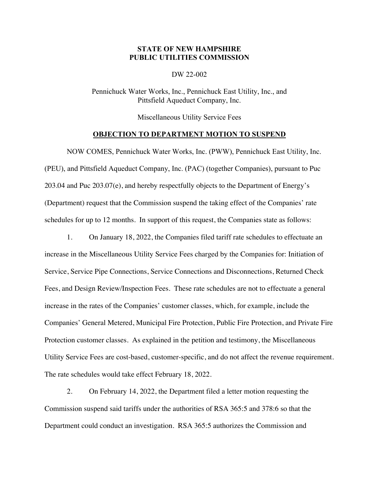## **STATE OF NEW HAMPSHIRE PUBLIC UTILITIES COMMISSION**

DW 22-002

Pennichuck Water Works, Inc., Pennichuck East Utility, Inc., and Pittsfield Aqueduct Company, Inc.

Miscellaneous Utility Service Fees

## **OBJECTION TO DEPARTMENT MOTION TO SUSPEND**

NOW COMES, Pennichuck Water Works, Inc. (PWW), Pennichuck East Utility, Inc. (PEU), and Pittsfield Aqueduct Company, Inc. (PAC) (together Companies), pursuant to Puc 203.04 and Puc 203.07(e), and hereby respectfully objects to the Department of Energy's (Department) request that the Commission suspend the taking effect of the Companies' rate schedules for up to 12 months. In support of this request, the Companies state as follows:

1. On January 18, 2022, the Companies filed tariff rate schedules to effectuate an increase in the Miscellaneous Utility Service Fees charged by the Companies for: Initiation of Service, Service Pipe Connections, Service Connections and Disconnections, Returned Check Fees, and Design Review/Inspection Fees. These rate schedules are not to effectuate a general increase in the rates of the Companies' customer classes, which, for example, include the Companies' General Metered, Municipal Fire Protection, Public Fire Protection, and Private Fire Protection customer classes. As explained in the petition and testimony, the Miscellaneous Utility Service Fees are cost-based, customer-specific, and do not affect the revenue requirement. The rate schedules would take effect February 18, 2022.

2. On February 14, 2022, the Department filed a letter motion requesting the Commission suspend said tariffs under the authorities of RSA 365:5 and 378:6 so that the Department could conduct an investigation. RSA 365:5 authorizes the Commission and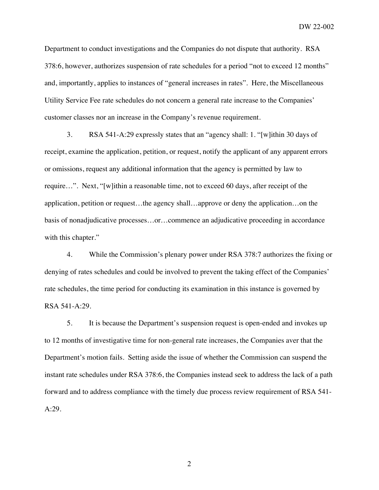Department to conduct investigations and the Companies do not dispute that authority. RSA 378:6, however, authorizes suspension of rate schedules for a period "not to exceed 12 months" and, importantly, applies to instances of "general increases in rates". Here, the Miscellaneous Utility Service Fee rate schedules do not concern a general rate increase to the Companies' customer classes nor an increase in the Company's revenue requirement.

3. RSA 541-A:29 expressly states that an "agency shall: 1. "[w]ithin 30 days of receipt, examine the application, petition, or request, notify the applicant of any apparent errors or omissions, request any additional information that the agency is permitted by law to require…". Next, "[w]ithin a reasonable time, not to exceed 60 days, after receipt of the application, petition or request…the agency shall…approve or deny the application…on the basis of nonadjudicative processes…or…commence an adjudicative proceeding in accordance with this chapter."

4. While the Commission's plenary power under RSA 378:7 authorizes the fixing or denying of rates schedules and could be involved to prevent the taking effect of the Companies' rate schedules, the time period for conducting its examination in this instance is governed by RSA 541-A:29.

5. It is because the Department's suspension request is open-ended and invokes up to 12 months of investigative time for non-general rate increases, the Companies aver that the Department's motion fails. Setting aside the issue of whether the Commission can suspend the instant rate schedules under RSA 378:6, the Companies instead seek to address the lack of a path forward and to address compliance with the timely due process review requirement of RSA 541- A:29.

2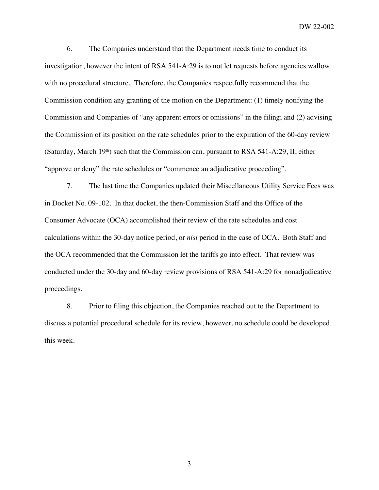DW 22-002

6. The Companies understand that the Department needs time to conduct its investigation, however the intent of RSA 541-A:29 is to not let requests before agencies wallow with no procedural structure. Therefore, the Companies respectfully recommend that the Commission condition any granting of the motion on the Department: (1) timely notifying the Commission and Companies of "any apparent errors or omissions" in the filing; and (2) advising the Commission of its position on the rate schedules prior to the expiration of the 60-day review (Saturday, March  $19<sup>th</sup>$ ) such that the Commission can, pursuant to RSA 541-A:29, II, either "approve or deny" the rate schedules or "commence an adjudicative proceeding".

7. The last time the Companies updated their Miscellaneous Utility Service Fees was in Docket No. 09-102. In that docket, the then-Commission Staff and the Office of the Consumer Advocate (OCA) accomplished their review of the rate schedules and cost calculations within the 30-day notice period, or *nisi* period in the case of OCA. Both Staff and the OCA recommended that the Commission let the tariffs go into effect. That review was conducted under the 30-day and 60-day review provisions of RSA 541-A:29 for nonadjudicative proceedings.

8. Prior to filing this objection, the Companies reached out to the Department to discuss a potential procedural schedule for its review, however, no schedule could be developed this week.

3